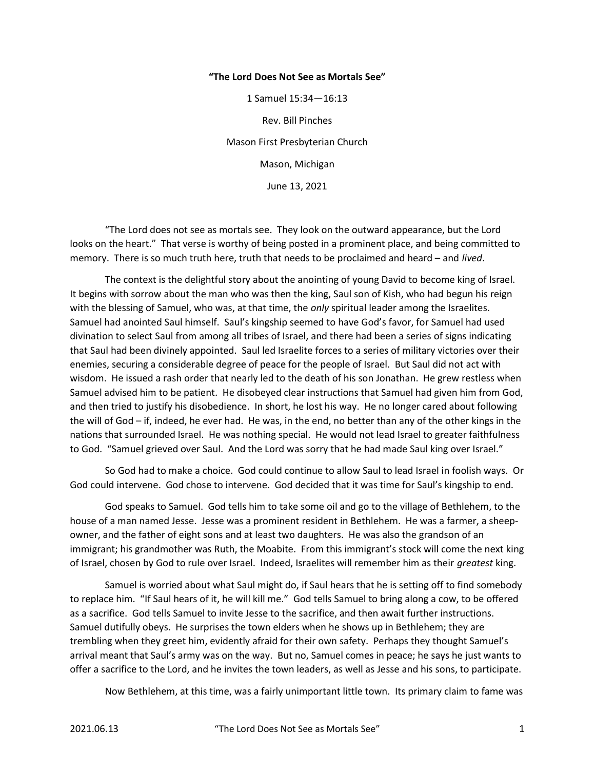## "The Lord Does Not See as Mortals See"

1 Samuel 15:34—16:13 Rev. Bill Pinches Mason First Presbyterian Church Mason, Michigan June 13, 2021

 "The Lord does not see as mortals see. They look on the outward appearance, but the Lord looks on the heart." That verse is worthy of being posted in a prominent place, and being committed to memory. There is so much truth here, truth that needs to be proclaimed and heard – and lived.

 The context is the delightful story about the anointing of young David to become king of Israel. It begins with sorrow about the man who was then the king, Saul son of Kish, who had begun his reign with the blessing of Samuel, who was, at that time, the only spiritual leader among the Israelites. Samuel had anointed Saul himself. Saul's kingship seemed to have God's favor, for Samuel had used divination to select Saul from among all tribes of Israel, and there had been a series of signs indicating that Saul had been divinely appointed. Saul led Israelite forces to a series of military victories over their enemies, securing a considerable degree of peace for the people of Israel. But Saul did not act with wisdom. He issued a rash order that nearly led to the death of his son Jonathan. He grew restless when Samuel advised him to be patient. He disobeyed clear instructions that Samuel had given him from God, and then tried to justify his disobedience. In short, he lost his way. He no longer cared about following the will of God – if, indeed, he ever had. He was, in the end, no better than any of the other kings in the nations that surrounded Israel. He was nothing special. He would not lead Israel to greater faithfulness to God. "Samuel grieved over Saul. And the Lord was sorry that he had made Saul king over Israel."

 So God had to make a choice. God could continue to allow Saul to lead Israel in foolish ways. Or God could intervene. God chose to intervene. God decided that it was time for Saul's kingship to end.

 God speaks to Samuel. God tells him to take some oil and go to the village of Bethlehem, to the house of a man named Jesse. Jesse was a prominent resident in Bethlehem. He was a farmer, a sheepowner, and the father of eight sons and at least two daughters. He was also the grandson of an immigrant; his grandmother was Ruth, the Moabite. From this immigrant's stock will come the next king of Israel, chosen by God to rule over Israel. Indeed, Israelites will remember him as their greatest king.

 Samuel is worried about what Saul might do, if Saul hears that he is setting off to find somebody to replace him. "If Saul hears of it, he will kill me." God tells Samuel to bring along a cow, to be offered as a sacrifice. God tells Samuel to invite Jesse to the sacrifice, and then await further instructions. Samuel dutifully obeys. He surprises the town elders when he shows up in Bethlehem; they are trembling when they greet him, evidently afraid for their own safety. Perhaps they thought Samuel's arrival meant that Saul's army was on the way. But no, Samuel comes in peace; he says he just wants to offer a sacrifice to the Lord, and he invites the town leaders, as well as Jesse and his sons, to participate.

Now Bethlehem, at this time, was a fairly unimportant little town. Its primary claim to fame was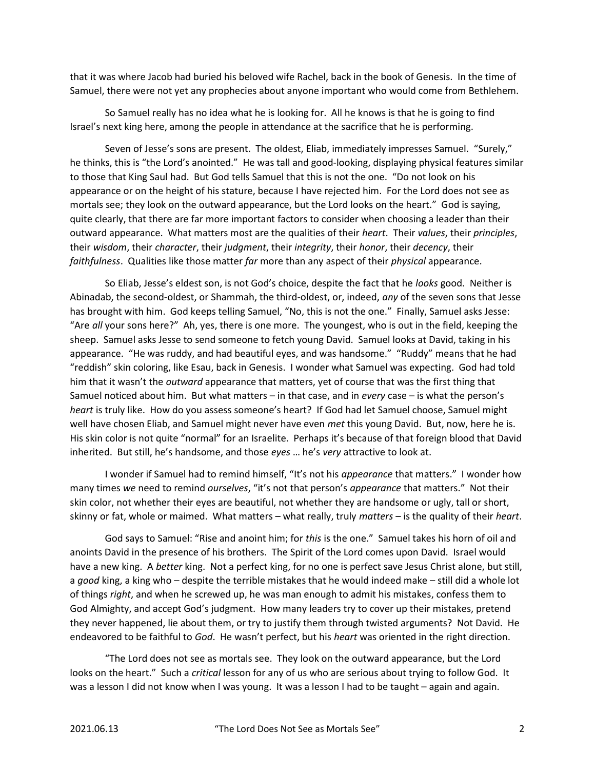that it was where Jacob had buried his beloved wife Rachel, back in the book of Genesis. In the time of Samuel, there were not yet any prophecies about anyone important who would come from Bethlehem.

 So Samuel really has no idea what he is looking for. All he knows is that he is going to find Israel's next king here, among the people in attendance at the sacrifice that he is performing.

 Seven of Jesse's sons are present. The oldest, Eliab, immediately impresses Samuel. "Surely," he thinks, this is "the Lord's anointed." He was tall and good-looking, displaying physical features similar to those that King Saul had. But God tells Samuel that this is not the one. "Do not look on his appearance or on the height of his stature, because I have rejected him. For the Lord does not see as mortals see; they look on the outward appearance, but the Lord looks on the heart." God is saying, quite clearly, that there are far more important factors to consider when choosing a leader than their outward appearance. What matters most are the qualities of their heart. Their values, their principles, their wisdom, their character, their judgment, their integrity, their honor, their decency, their faithfulness. Qualities like those matter far more than any aspect of their physical appearance.

So Eliab, Jesse's eldest son, is not God's choice, despite the fact that he looks good. Neither is Abinadab, the second-oldest, or Shammah, the third-oldest, or, indeed, any of the seven sons that Jesse has brought with him. God keeps telling Samuel, "No, this is not the one." Finally, Samuel asks Jesse: "Are all your sons here?" Ah, yes, there is one more. The youngest, who is out in the field, keeping the sheep. Samuel asks Jesse to send someone to fetch young David. Samuel looks at David, taking in his appearance. "He was ruddy, and had beautiful eyes, and was handsome." "Ruddy" means that he had "reddish" skin coloring, like Esau, back in Genesis. I wonder what Samuel was expecting. God had told him that it wasn't the *outward* appearance that matters, yet of course that was the first thing that Samuel noticed about him. But what matters – in that case, and in every case – is what the person's heart is truly like. How do you assess someone's heart? If God had let Samuel choose, Samuel might well have chosen Eliab, and Samuel might never have even met this young David. But, now, here he is. His skin color is not quite "normal" for an Israelite. Perhaps it's because of that foreign blood that David inherited. But still, he's handsome, and those eyes ... he's very attractive to look at.

I wonder if Samuel had to remind himself, "It's not his *appearance* that matters." I wonder how many times we need to remind ourselves, "it's not that person's appearance that matters." Not their skin color, not whether their eyes are beautiful, not whether they are handsome or ugly, tall or short, skinny or fat, whole or maimed. What matters – what really, truly matters – is the quality of their heart.

 God says to Samuel: "Rise and anoint him; for this is the one." Samuel takes his horn of oil and anoints David in the presence of his brothers. The Spirit of the Lord comes upon David. Israel would have a new king. A better king. Not a perfect king, for no one is perfect save Jesus Christ alone, but still, a good king, a king who – despite the terrible mistakes that he would indeed make – still did a whole lot of things right, and when he screwed up, he was man enough to admit his mistakes, confess them to God Almighty, and accept God's judgment. How many leaders try to cover up their mistakes, pretend they never happened, lie about them, or try to justify them through twisted arguments? Not David. He endeavored to be faithful to God. He wasn't perfect, but his heart was oriented in the right direction.

 "The Lord does not see as mortals see. They look on the outward appearance, but the Lord looks on the heart." Such a critical lesson for any of us who are serious about trying to follow God. It was a lesson I did not know when I was young. It was a lesson I had to be taught – again and again.